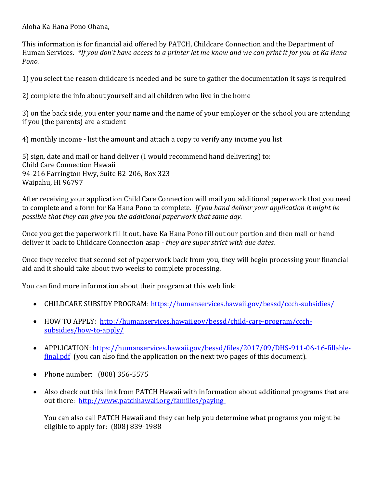Aloha Ka Hana Pono Ohana,

This information is for financial aid offered by PATCH, Childcare Connection and the Department of Human Services. *\*If you don't have access to a printer let me know and we can print it for you at Ka Hana Pono.* 

1) you select the reason childcare is needed and be sure to gather the documentation it says is required

2) complete the info about yourself and all children who live in the home

3) on the back side, you enter your name and the name of your employer or the school you are attending if you (the parents) are a student

4) monthly income - list the amount and attach a copy to verify any income you list

5) sign, date and mail or hand deliver (I would recommend hand delivering) to: Child Care Connection Hawaii 94-216 Farrington Hwy, Suite B2-206, Box 323 Waipahu, HI 96797

After receiving your application Child Care Connection will mail you additional paperwork that you need to complete and a form for Ka Hana Pono to complete. *If you hand deliver your application it might be possible that they can give you the additional paperwork that same day.*

Once you get the paperwork fill it out, have Ka Hana Pono fill out our portion and then mail or hand deliver it back to Childcare Connection asap - *they are super strict with due dates.* 

Once they receive that second set of paperwork back from you, they will begin processing your financial aid and it should take about two weeks to complete processing.

You can find more information about their program at this web link:

- CHILDCARE SUBSIDY PROGRAM: https://humanservices.hawaii.gov/bessd/ccch-subsidies/
- HOW TO APPLY: http://humanservices.hawaii.gov/bessd/child-care-program/ccchsubsidies/how-to-apply/
- APPLICATION: https://humanservices.hawaii.gov/bessd/files/2017/09/DHS-911-06-16-fillablefinal.pdf (you can also find the application on the next two pages of this document).
- Phone number: (808) 356-5575
- Also check out this link from PATCH Hawaii with information about additional programs that are out there: http://www.patchhawaii.org/families/paying

You can also call PATCH Hawaii and they can help you determine what programs you might be eligible to apply for: (808) 839-1988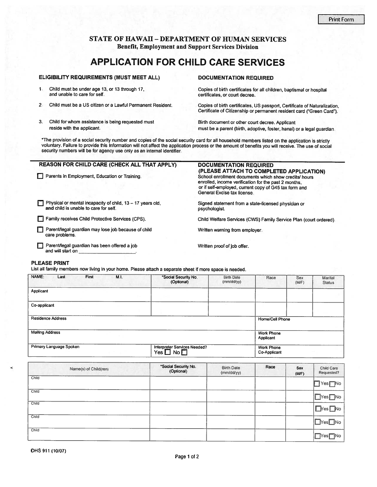## **STATE OF HAWAII - DEPARTMENT OF HUMAN SERVICES Benefit, Employment and Support Services Division**

# **APPLICATION FOR CHILD CARE SERVICES**

#### ELIGIBILITY REQUIREMENTS (MUST MEET ALL)

- $\mathbf{1}$ Child must be under age 13, or 13 through 17, and unable to care for self.
- $2.$ Child must be a US citizen or a Lawful Permanent Resident.
- $3.$ Child for whom assistance is being requested must reside with the applicant.

**DOCUMENTATION REQUIRED** 

Copies of birth certificates for all children, baptismal or hospital certificates, or court decree.

Copies of birth certificates, US passport, Certificate of Naturalization. Certificate of Citizenship or permanent resident card ("Green Card").

Birth document or other court decree. Applicant must be a parent (birth, adoptive, foster, hanai) or a legal guardian.

\*The provision of a social security number and copies of the social security card for all household members listed on the application is strictly voluntary. Failure to provide this Information will not affect the application process or the amount of benefits you will receive. The use of social security numbers will be for agency use only as an internal identifier.

## **REASON FOR CHILD CARE (CHECK ALL THAT APPLY)**

Parents in Employment, Education or Training.

and child is unable to care for self.

Physical or mental incapacity of child,  $13 - 17$  years old,

# **DOCUMENTATION REQUIRED**

(PLEASE ATTACH TO COMPLETED APPLICATION) School enrollment documents which show credits/ hours enrolled, income verification for the past 2 months, or if self-employed, current copy of G45 tax form and General Excise tax license.

Signed statement from a state-licensed physician or psychologist.

Child Welfare Services (CWS) Family Service Plan (court ordered).

Written warning from employer.

Parent/legal guardian has been offered a job and will start on

Parent/legal guardian may lose job because of child

Family receives Child Protective Services (CPS).

Written proof of job offer.

#### **PLEASE PRINT**

care problems.

List all family members now living in your home. Please attach a separate sheet if more space is needed.

| NAME:<br>First<br>Last   | M.I. | *Social Security No.<br>(Optional)                 | <b>Birth Date</b><br>(mm/dd/yy) | Race                              | Sex<br>(M/F) | <b>Marital</b><br><b>Status</b> |
|--------------------------|------|----------------------------------------------------|---------------------------------|-----------------------------------|--------------|---------------------------------|
| Applicant                |      |                                                    |                                 |                                   |              |                                 |
|                          |      |                                                    |                                 |                                   |              |                                 |
| Co-applicant             |      |                                                    |                                 |                                   |              |                                 |
|                          |      |                                                    |                                 |                                   |              |                                 |
| <b>Residence Address</b> |      |                                                    |                                 | <b>Home/Cell Phone</b>            |              |                                 |
|                          |      |                                                    |                                 |                                   |              |                                 |
| <b>Mailing Address</b>   |      |                                                    |                                 | <b>Work Phone</b>                 |              |                                 |
|                          |      |                                                    |                                 | Applicant                         |              |                                 |
| Primary Language Spoken  |      | Interpreter Services Needed?<br>$Yes \Box No \Box$ |                                 | <b>Work Phone</b><br>Co-Applicant |              |                                 |

| Name(s) of Child(ren) | *Social Security No.<br>(Optional) | <b>Birth Date</b><br>(mm/dd/yy) | Race | Sex<br>(M/F) | Child Care<br>Requested?       |
|-----------------------|------------------------------------|---------------------------------|------|--------------|--------------------------------|
| Child                 |                                    |                                 |      |              | $T$ Yes $T$ No                 |
| Child                 |                                    |                                 |      |              | $\Box$ Yes $\Box$ No           |
| Child                 |                                    |                                 |      |              | $Nes$ No                       |
| Child                 |                                    |                                 |      |              | $Nes$ No                       |
| Child                 |                                    |                                 |      |              | <b>TNo</b><br>$T$ Yes $\Gamma$ |

ć